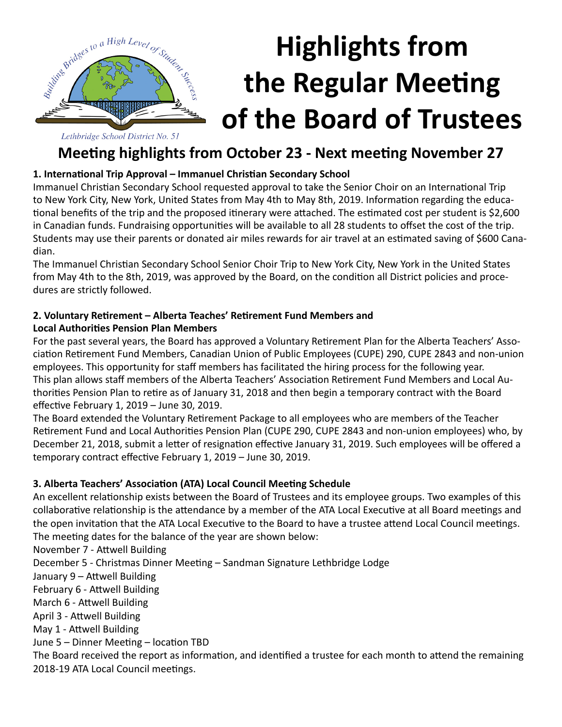

# **Highlights from the Regular Meeting of the Board of Trustees**

**Meeting highlights from October 23 - Next meeting November 27**

#### **1. International Trip Approval – Immanuel Christian Secondary School**

Immanuel Christian Secondary School requested approval to take the Senior Choir on an International Trip to New York City, New York, United States from May 4th to May 8th, 2019. Information regarding the educational benefits of the trip and the proposed itinerary were attached. The estimated cost per student is \$2,600 in Canadian funds. Fundraising opportunities will be available to all 28 students to offset the cost of the trip. Students may use their parents or donated air miles rewards for air travel at an estimated saving of \$600 Canadian.

The Immanuel Christian Secondary School Senior Choir Trip to New York City, New York in the United States from May 4th to the 8th, 2019, was approved by the Board, on the condition all District policies and procedures are strictly followed.

#### **2. Voluntary Retirement – Alberta Teaches' Retirement Fund Members and Local Authorities Pension Plan Members**

For the past several years, the Board has approved a Voluntary Retirement Plan for the Alberta Teachers' Association Retirement Fund Members, Canadian Union of Public Employees (CUPE) 290, CUPE 2843 and non-union employees. This opportunity for staff members has facilitated the hiring process for the following year. This plan allows staff members of the Alberta Teachers' Association Retirement Fund Members and Local Authorities Pension Plan to retire as of January 31, 2018 and then begin a temporary contract with the Board effective February 1, 2019 – June 30, 2019.

The Board extended the Voluntary Retirement Package to all employees who are members of the Teacher Retirement Fund and Local Authorities Pension Plan (CUPE 290, CUPE 2843 and non-union employees) who, by December 21, 2018, submit a letter of resignation effective January 31, 2019. Such employees will be offered a temporary contract effective February 1, 2019 – June 30, 2019.

#### **3. Alberta Teachers' Association (ATA) Local Council Meeting Schedule**

An excellent relationship exists between the Board of Trustees and its employee groups. Two examples of this collaborative relationship is the attendance by a member of the ATA Local Executive at all Board meetings and the open invitation that the ATA Local Executive to the Board to have a trustee attend Local Council meetings. The meeting dates for the balance of the year are shown below:

November 7 - Attwell Building December 5 - Christmas Dinner Meeting – Sandman Signature Lethbridge Lodge January 9 – Attwell Building February 6 - Attwell Building March 6 - Attwell Building April 3 - Attwell Building May 1 - Attwell Building June 5 – Dinner Meeting – location TBD The Board received the report as information, and identified a trustee for each month to attend the remaining 2018-19 ATA Local Council meetings.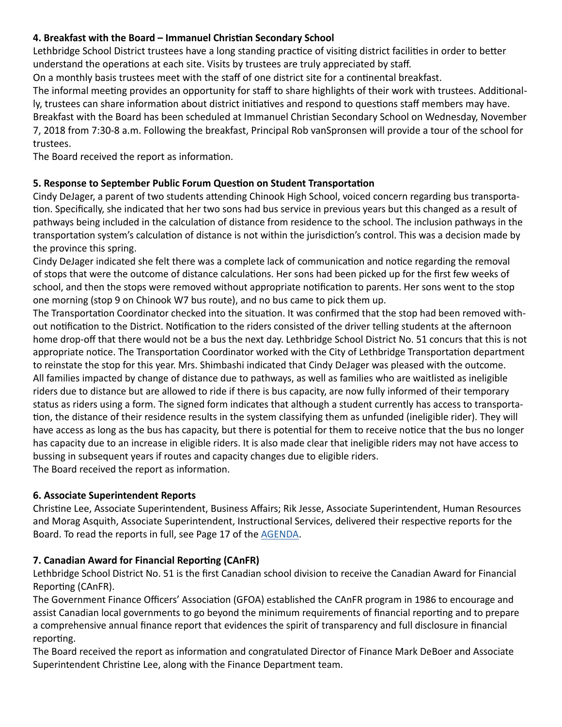#### **4. Breakfast with the Board – Immanuel Christian Secondary School**

Lethbridge School District trustees have a long standing practice of visiting district facilities in order to better understand the operations at each site. Visits by trustees are truly appreciated by staff.

On a monthly basis trustees meet with the staff of one district site for a continental breakfast.

The informal meeting provides an opportunity for staff to share highlights of their work with trustees. Additionally, trustees can share information about district initiatives and respond to questions staff members may have. Breakfast with the Board has been scheduled at Immanuel Christian Secondary School on Wednesday, November

7, 2018 from 7:30-8 a.m. Following the breakfast, Principal Rob vanSpronsen will provide a tour of the school for trustees.

The Board received the report as information.

#### **5. Response to September Public Forum Question on Student Transportation**

Cindy DeJager, a parent of two students attending Chinook High School, voiced concern regarding bus transportation. Specifically, she indicated that her two sons had bus service in previous years but this changed as a result of pathways being included in the calculation of distance from residence to the school. The inclusion pathways in the transportation system's calculation of distance is not within the jurisdiction's control. This was a decision made by the province this spring.

Cindy DeJager indicated she felt there was a complete lack of communication and notice regarding the removal of stops that were the outcome of distance calculations. Her sons had been picked up for the first few weeks of school, and then the stops were removed without appropriate notification to parents. Her sons went to the stop one morning (stop 9 on Chinook W7 bus route), and no bus came to pick them up.

The Transportation Coordinator checked into the situation. It was confirmed that the stop had been removed without notification to the District. Notification to the riders consisted of the driver telling students at the afternoon home drop-off that there would not be a bus the next day. Lethbridge School District No. 51 concurs that this is not appropriate notice. The Transportation Coordinator worked with the City of Lethbridge Transportation department to reinstate the stop for this year. Mrs. Shimbashi indicated that Cindy DeJager was pleased with the outcome. All families impacted by change of distance due to pathways, as well as families who are waitlisted as ineligible riders due to distance but are allowed to ride if there is bus capacity, are now fully informed of their temporary status as riders using a form. The signed form indicates that although a student currently has access to transportation, the distance of their residence results in the system classifying them as unfunded (ineligible rider). They will have access as long as the bus has capacity, but there is potential for them to receive notice that the bus no longer has capacity due to an increase in eligible riders. It is also made clear that ineligible riders may not have access to bussing in subsequent years if routes and capacity changes due to eligible riders. The Board received the report as information.

### **6. Associate Superintendent Reports**

Christine Lee, Associate Superintendent, Business Affairs; Rik Jesse, Associate Superintendent, Human Resources and Morag Asquith, Associate Superintendent, Instructional Services, delivered their respective reports for the Board. To read the reports in full, see Page 17 of the [AGENDA.](http://www.lethsd.ab.ca/documents/general/2018-10-23%20Board%20Meeting%20Agenda.pdf)

#### **7. Canadian Award for Financial Reporting (CAnFR)**

Lethbridge School District No. 51 is the first Canadian school division to receive the Canadian Award for Financial Reporting (CAnFR).

The Government Finance Officers' Association (GFOA) established the CAnFR program in 1986 to encourage and assist Canadian local governments to go beyond the minimum requirements of financial reporting and to prepare a comprehensive annual finance report that evidences the spirit of transparency and full disclosure in financial reporting.

The Board received the report as information and congratulated Director of Finance Mark DeBoer and Associate Superintendent Christine Lee, along with the Finance Department team.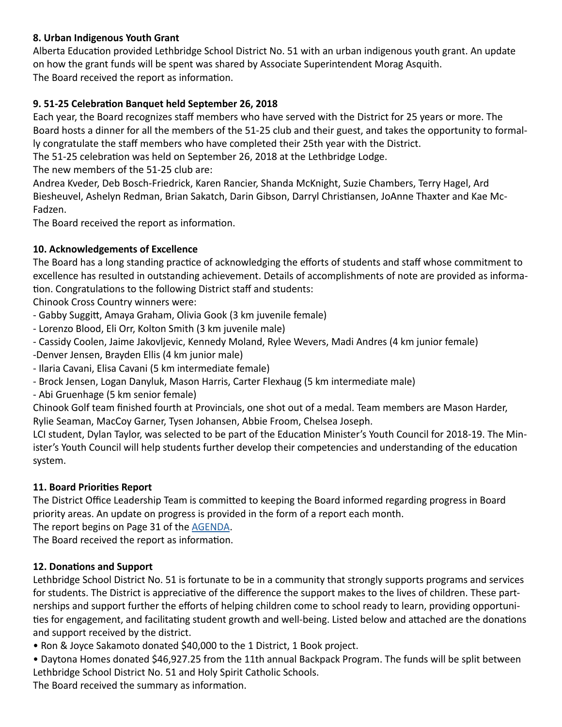#### **8. Urban Indigenous Youth Grant**

Alberta Education provided Lethbridge School District No. 51 with an urban indigenous youth grant. An update on how the grant funds will be spent was shared by Associate Superintendent Morag Asquith. The Board received the report as information.

#### **9. 51-25 Celebration Banquet held September 26, 2018**

Each year, the Board recognizes staff members who have served with the District for 25 years or more. The Board hosts a dinner for all the members of the 51-25 club and their guest, and takes the opportunity to formally congratulate the staff members who have completed their 25th year with the District.

The 51-25 celebration was held on September 26, 2018 at the Lethbridge Lodge.

The new members of the 51-25 club are:

Andrea Kveder, Deb Bosch-Friedrick, Karen Rancier, Shanda McKnight, Suzie Chambers, Terry Hagel, Ard Biesheuvel, Ashelyn Redman, Brian Sakatch, Darin Gibson, Darryl Christiansen, JoAnne Thaxter and Kae Mc-Fadzen.

The Board received the report as information.

#### **10. Acknowledgements of Excellence**

The Board has a long standing practice of acknowledging the efforts of students and staff whose commitment to excellence has resulted in outstanding achievement. Details of accomplishments of note are provided as information. Congratulations to the following District staff and students:

Chinook Cross Country winners were:

- Gabby Suggitt, Amaya Graham, Olivia Gook (3 km juvenile female)
- Lorenzo Blood, Eli Orr, Kolton Smith (3 km juvenile male)
- Cassidy Coolen, Jaime Jakovljevic, Kennedy Moland, Rylee Wevers, Madi Andres (4 km junior female)
- -Denver Jensen, Brayden Ellis (4 km junior male)
- Ilaria Cavani, Elisa Cavani (5 km intermediate female)
- Brock Jensen, Logan Danyluk, Mason Harris, Carter Flexhaug (5 km intermediate male)
- Abi Gruenhage (5 km senior female)

Chinook Golf team finished fourth at Provincials, one shot out of a medal. Team members are Mason Harder, Rylie Seaman, MacCoy Garner, Tysen Johansen, Abbie Froom, Chelsea Joseph.

LCI student, Dylan Taylor, was selected to be part of the Education Minister's Youth Council for 2018-19. The Minister's Youth Council will help students further develop their competencies and understanding of the education system.

#### **11. Board Priorities Report**

The District Office Leadership Team is committed to keeping the Board informed regarding progress in Board priority areas. An update on progress is provided in the form of a report each month.

The report begins on Page 31 of the [AGENDA](http://www.lethsd.ab.ca/documents/general/2018-10-23%20Board%20Meeting%20Agenda.pdf).

The Board received the report as information.

#### **12. Donations and Support**

Lethbridge School District No. 51 is fortunate to be in a community that strongly supports programs and services for students. The District is appreciative of the difference the support makes to the lives of children. These partnerships and support further the efforts of helping children come to school ready to learn, providing opportunities for engagement, and facilitating student growth and well-being. Listed below and attached are the donations and support received by the district.

• Ron & Joyce Sakamoto donated \$40,000 to the 1 District, 1 Book project.

• Daytona Homes donated \$46,927.25 from the 11th annual Backpack Program. The funds will be split between Lethbridge School District No. 51 and Holy Spirit Catholic Schools.

The Board received the summary as information.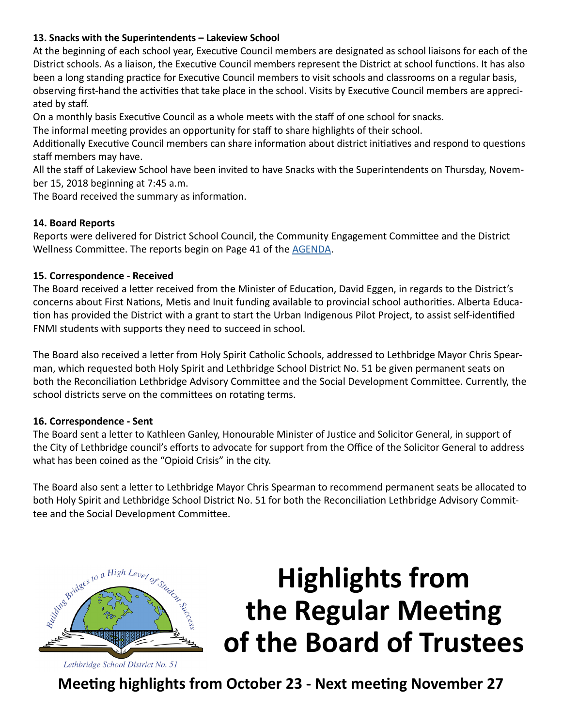#### **13. Snacks with the Superintendents – Lakeview School**

At the beginning of each school year, Executive Council members are designated as school liaisons for each of the District schools. As a liaison, the Executive Council members represent the District at school functions. It has also been a long standing practice for Executive Council members to visit schools and classrooms on a regular basis, observing first-hand the activities that take place in the school. Visits by Executive Council members are appreciated by staff.

On a monthly basis Executive Council as a whole meets with the staff of one school for snacks.

The informal meeting provides an opportunity for staff to share highlights of their school.

Additionally Executive Council members can share information about district initiatives and respond to questions staff members may have.

All the staff of Lakeview School have been invited to have Snacks with the Superintendents on Thursday, November 15, 2018 beginning at 7:45 a.m.

The Board received the summary as information.

#### **14. Board Reports**

Reports were delivered for District School Council, the Community Engagement Committee and the District Wellness Committee. The reports begin on Page 41 of the [AGENDA.](http://www.lethsd.ab.ca/documents/general/2018-10-23%20Board%20Meeting%20Agenda.pdf)

#### **15. Correspondence - Received**

The Board received a letter received from the Minister of Education, David Eggen, in regards to the District's concerns about First Nations, Metis and Inuit funding available to provincial school authorities. Alberta Education has provided the District with a grant to start the Urban Indigenous Pilot Project, to assist self-identified FNMI students with supports they need to succeed in school.

The Board also received a letter from Holy Spirit Catholic Schools, addressed to Lethbridge Mayor Chris Spearman, which requested both Holy Spirit and Lethbridge School District No. 51 be given permanent seats on both the Reconciliation Lethbridge Advisory Committee and the Social Development Committee. Currently, the school districts serve on the committees on rotating terms.

#### **16. Correspondence - Sent**

The Board sent a letter to Kathleen Ganley, Honourable Minister of Justice and Solicitor General, in support of the City of Lethbridge council's efforts to advocate for support from the Office of the Solicitor General to address what has been coined as the "Opioid Crisis" in the city.

The Board also sent a letter to Lethbridge Mayor Chris Spearman to recommend permanent seats be allocated to both Holy Spirit and Lethbridge School District No. 51 for both the Reconciliation Lethbridge Advisory Committee and the Social Development Committee.



### **Highlights from the Regular Meeting of the Board of Trustees**

**Meeting highlights from October 23 - Next meeting November 27**